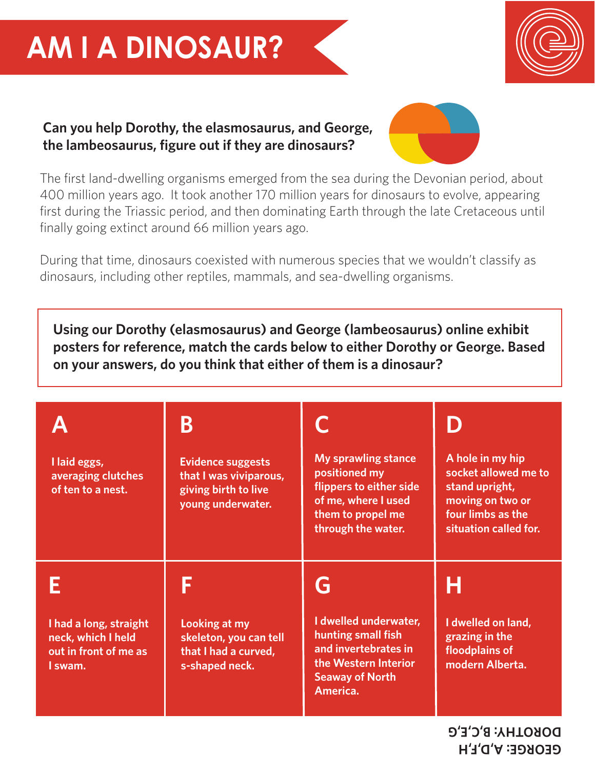## **AM I A DINOSAUR?**



## **Can you help Dorothy, the elasmosaurus, and George, the lambeosaurus, figure out if they are dinosaurs?**



The first land-dwelling organisms emerged from the sea during the Devonian period, about 400 million years ago. It took another 170 million years for dinosaurs to evolve, appearing first during the Triassic period, and then dominating Earth through the late Cretaceous until finally going extinct around 66 million years ago.

During that time, dinosaurs coexisted with numerous species that we wouldn't classify as dinosaurs, including other reptiles, mammals, and sea-dwelling organisms.

**Using our Dorothy (elasmosaurus) and George (lambeosaurus) online exhibit posters for reference, match the cards below to either Dorothy or George. Based on your answers, do you think that either of them is a dinosaur?**

|                                                                                  | B                                                                                               |                                                                                                                                          |                                                                                                                              |
|----------------------------------------------------------------------------------|-------------------------------------------------------------------------------------------------|------------------------------------------------------------------------------------------------------------------------------------------|------------------------------------------------------------------------------------------------------------------------------|
| I laid eggs,<br>averaging clutches<br>of ten to a nest.                          | <b>Evidence suggests</b><br>that I was viviparous,<br>giving birth to live<br>young underwater. | <b>My sprawling stance</b><br>positioned my<br>flippers to either side<br>of me, where I used<br>them to propel me<br>through the water. | A hole in my hip<br>socket allowed me to<br>stand upright,<br>moving on two or<br>four limbs as the<br>situation called for. |
| I had a long, straight<br>neck, which I held<br>out in front of me as<br>I swam. | Looking at my<br>skeleton, you can tell<br>that I had a curved,<br>s-shaped neck.               | G<br>I dwelled underwater,<br>hunting small fish<br>and invertebrates in<br>the Western Interior<br><b>Seaway of North</b>               | H<br>I dwelled on land,<br>grazing in the<br>floodplains of<br>modern Alberta.                                               |
|                                                                                  |                                                                                                 | America.                                                                                                                                 |                                                                                                                              |